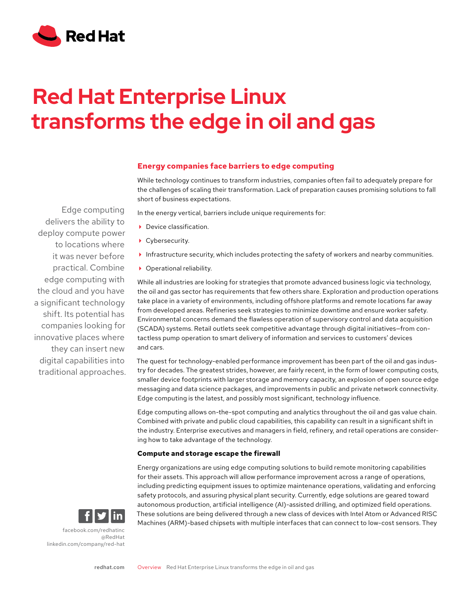

# **Red Hat Enterprise Linux transforms the edge in oil and gas**

# **Energy companies face barriers to edge computing**

While technology continues to transform industries, companies often fail to adequately prepare for the challenges of scaling their transformation. Lack of preparation causes promising solutions to fall short of business expectations.

In the energy vertical, barriers include unique requirements for:

- ▶ Device classification.
- ▶ Cybersecurity.
- Infrastructure security, which includes protecting the safety of workers and nearby communities.
- ▶ Operational reliability.

While all industries are looking for strategies that promote advanced business logic via technology, the oil and gas sector has requirements that few others share. Exploration and production operations take place in a variety of environments, including offshore platforms and remote locations far away from developed areas. Refineries seek strategies to minimize downtime and ensure worker safety. Environmental concerns demand the flawless operation of supervisory control and data acquisition (SCADA) systems. Retail outlets seek competitive advantage through digital initiatives—from contactless pump operation to smart delivery of information and services to customers' devices and cars.

The quest for technology-enabled performance improvement has been part of the oil and gas industry for decades. The greatest strides, however, are fairly recent, in the form of lower computing costs, smaller device footprints with larger storage and memory capacity, an explosion of open source edge messaging and data science packages, and improvements in public and private network connectivity. Edge computing is the latest, and possibly most significant, technology influence.

Edge computing allows on-the-spot computing and analytics throughout the oil and gas value chain. Combined with private and public cloud capabilities, this capability can result in a significant shift in the industry. Enterprise executives and managers in field, refinery, and retail operations are considering how to take advantage of the technology.

## **Compute and storage escape the firewall**

Energy organizations are using edge computing solutions to build remote monitoring capabilities for their assets. This approach will allow performance improvement across a range of operations, including predicting equipment issues to optimize maintenance operations, validating and enforcing safety protocols, and assuring physical plant security. Currently, edge solutions are geared toward autonomous production, artificial intelligence (AI)-assisted drilling, and optimized field operations. These solutions are being delivered through a new class of devices with Intel Atom or Advanced RISC Machines (ARM)-based chipsets with multiple interfaces that can connect to low-cost sensors. They

delivers the ability to deploy compute power to locations where it was never before practical. Combine edge computing with the cloud and you have a significant technology shift. Its potential has companies looking for innovative places where they can insert new digital capabilities into traditional approaches.

Edge computing



[facebook.com/redhatinc](http://facebook.com/redhatinc

) [@RedHat](https://twitter.com/redhatnews) [linkedin.com/company/red-hat](http://linkedin.com/company/red-hat
)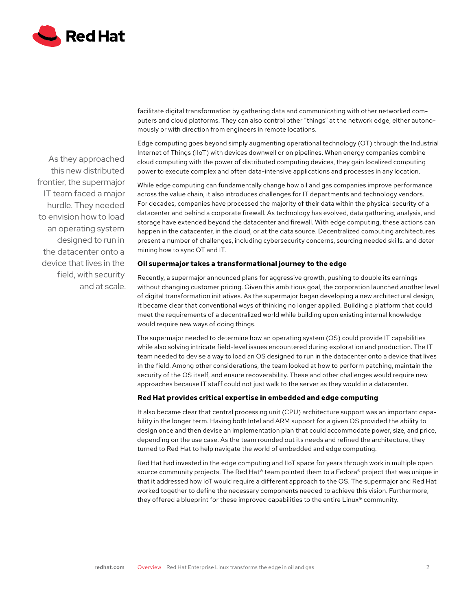

facilitate digital transformation by gathering data and communicating with other networked computers and cloud platforms. They can also control other "things" at the network edge, either autonomously or with direction from engineers in remote locations.

Edge computing goes beyond simply augmenting operational technology (OT) through the Industrial Internet of Things (IIoT) with devices downwell or on pipelines. When energy companies combine cloud computing with the power of distributed computing devices, they gain localized computing power to execute complex and often data-intensive applications and processes in any location.

While edge computing can fundamentally change how oil and gas companies improve performance across the value chain, it also introduces challenges for IT departments and technology vendors. For decades, companies have processed the majority of their data within the physical security of a datacenter and behind a corporate firewall. As technology has evolved, data gathering, analysis, and storage have extended beyond the datacenter and firewall. With edge computing, these actions can happen in the datacenter, in the cloud, or at the data source. Decentralized computing architectures present a number of challenges, including cybersecurity concerns, sourcing needed skills, and determining how to sync OT and IT.

## **Oil supermajor takes a transformational journey to the edge**

Recently, a supermajor announced plans for aggressive growth, pushing to double its earnings without changing customer pricing. Given this ambitious goal, the corporation launched another level of digital transformation initiatives. As the supermajor began developing a new architectural design, it became clear that conventional ways of thinking no longer applied. Building a platform that could meet the requirements of a decentralized world while building upon existing internal knowledge would require new ways of doing things.

The supermajor needed to determine how an operating system (OS) could provide IT capabilities while also solving intricate field-level issues encountered during exploration and production. The IT team needed to devise a way to load an OS designed to run in the datacenter onto a device that lives in the field. Among other considerations, the team looked at how to perform patching, maintain the security of the OS itself, and ensure recoverability. These and other challenges would require new approaches because IT staff could not just walk to the server as they would in a datacenter.

## **Red Hat provides critical expertise in embedded and edge computing**

It also became clear that central processing unit (CPU) architecture support was an important capability in the longer term. Having both Intel and ARM support for a given OS provided the ability to design once and then devise an implementation plan that could accommodate power, size, and price, depending on the use case. As the team rounded out its needs and refined the architecture, they turned to Red Hat to help navigate the world of embedded and edge computing.

Red Hat had invested in the edge computing and IIoT space for years through work in multiple open source community projects. The Red Hat<sup>®</sup> team pointed them to a Fedora® project that was unique in that it addressed how IoT would require a different approach to the OS. The supermajor and Red Hat worked together to define the necessary components needed to achieve this vision. Furthermore, they offered a blueprint for these improved capabilities to the entire Linux® community.

As they approached this new distributed frontier, the supermajor IT team faced a major hurdle. They needed to envision how to load an operating system designed to run in the datacenter onto a device that lives in the field, with security and at scale.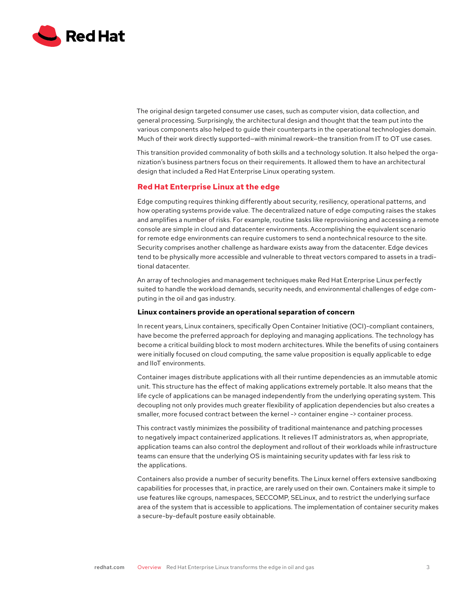

The original design targeted consumer use cases, such as computer vision, data collection, and general processing. Surprisingly, the architectural design and thought that the team put into the various components also helped to guide their counterparts in the operational technologies domain. Much of their work directly supported—with minimal rework—the transition from IT to OT use cases.

This transition provided commonality of both skills and a technology solution. It also helped the organization's business partners focus on their requirements. It allowed them to have an architectural design that included a Red Hat Enterprise Linux operating system.

## **Red Hat Enterprise Linux at the edge**

Edge computing requires thinking differently about security, resiliency, operational patterns, and how operating systems provide value. The decentralized nature of edge computing raises the stakes and amplifies a number of risks. For example, routine tasks like reprovisioning and accessing a remote console are simple in cloud and datacenter environments. Accomplishing the equivalent scenario for remote edge environments can require customers to send a nontechnical resource to the site. Security comprises another challenge as hardware exists away from the datacenter. Edge devices tend to be physically more accessible and vulnerable to threat vectors compared to assets in a traditional datacenter.

An array of technologies and management techniques make Red Hat Enterprise Linux perfectly suited to handle the workload demands, security needs, and environmental challenges of edge computing in the oil and gas industry.

#### **Linux containers provide an operational separation of concern**

In recent years, Linux containers, specifically Open Container Initiative (OCI)-compliant containers, have become the preferred approach for deploying and managing applications. The technology has become a critical building block to most modern architectures. While the benefits of using containers were initially focused on cloud computing, the same value proposition is equally applicable to edge and IIoT environments.

Container images distribute applications with all their runtime dependencies as an immutable atomic unit. This structure has the effect of making applications extremely portable. It also means that the life cycle of applications can be managed independently from the underlying operating system. This decoupling not only provides much greater flexibility of application dependencies but also creates a smaller, more focused contract between the kernel -> container engine -> container process.

This contract vastly minimizes the possibility of traditional maintenance and patching processes to negatively impact containerized applications. It relieves IT administrators as, when appropriate, application teams can also control the deployment and rollout of their workloads while infrastructure teams can ensure that the underlying OS is maintaining security updates with far less risk to the applications.

Containers also provide a number of security benefits. The Linux kernel offers extensive sandboxing capabilities for processes that, in practice, are rarely used on their own. Containers make it simple to use features like cgroups, namespaces, SECCOMP, SELinux, and to restrict the underlying surface area of the system that is accessible to applications. The implementation of container security makes a secure-by-default posture easily obtainable.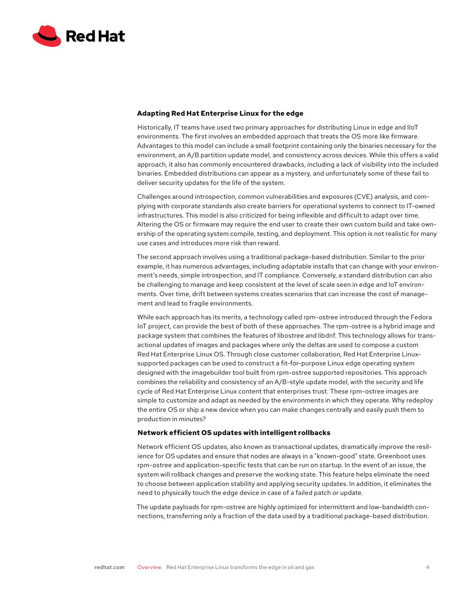

### **Adapting Red Hat Enterprise Linux for the edge**

Historically, IT teams have used two primary approaches for distributing Linux in edge and IIoT environments. The first involves an embedded approach that treats the OS more like firmware. Advantages to this model can include a small footprint containing only the binaries necessary for the environment, an A/B partition update model, and consistency across devices. While this offers a valid approach, it also has commonly encountered drawbacks, including a lack of visibility into the included binaries. Embedded distributions can appear as a mystery, and unfortunately some of these fail to deliver security updates for the life of the system.

Challenges around introspection, common vulnerabilities and exposures (CVE) analysis, and complying with corporate standards also create barriers for operational systems to connect to IT-owned infrastructures. This model is also criticized for being inflexible and difficult to adapt over time. Altering the OS or firmware may require the end user to create their own custom build and take ownership of the operating system compile, testing, and deployment. This option is not realistic for many use cases and introduces more risk than reward.

The second approach involves using a traditional package-based distribution. Similar to the prior example, it has numerous advantages, including adaptable installs that can change with your environment's needs, simple introspection, and IT compliance. Conversely, a standard distribution can also be challenging to manage and keep consistent at the level of scale seen in edge and IoT environments. Over time, drift between systems creates scenarios that can increase the cost of management and lead to fragile environments.

While each approach has its merits, a technology called rpm-ostree introduced through the Fedora IoT project, can provide the best of both of these approaches. The rpm-ostree is a hybrid image and package system that combines the features of libostree and libdnf. This technology allows for transactional updates of images and packages where only the deltas are used to compose a custom Red Hat Enterprise Linux OS. Through close customer collaboration, Red Hat Enterprise Linuxsupported packages can be used to construct a fit-for-purpose Linux edge operating system designed with the imagebuilder tool built from rpm-ostree supported repositories. This approach combines the reliability and consistency of an A/B-style update model, with the security and life cycle of Red Hat Enterprise Linux content that enterprises trust. These rpm-ostree images are simple to customize and adapt as needed by the environments in which they operate. Why redeploy the entire OS or ship a new device when you can make changes centrally and easily push them to production in minutes?

## **Network efficient OS updates with intelligent rollbacks**

Network efficient OS updates, also known as transactional updates, dramatically improve the resilience for OS updates and ensure that nodes are always in a "known-good" state. Greenboot uses rpm-ostree and application-specific tests that can be run on startup. In the event of an issue, the system will rollback changes and preserve the working state. This feature helps eliminate the need to choose between application stability and applying security updates. In addition, it eliminates the need to physically touch the edge device in case of a failed patch or update.

The update payloads for rpm-ostree are highly optimized for intermittent and low-bandwidth connections, transferring only a fraction of the data used by a traditional package-based distribution.